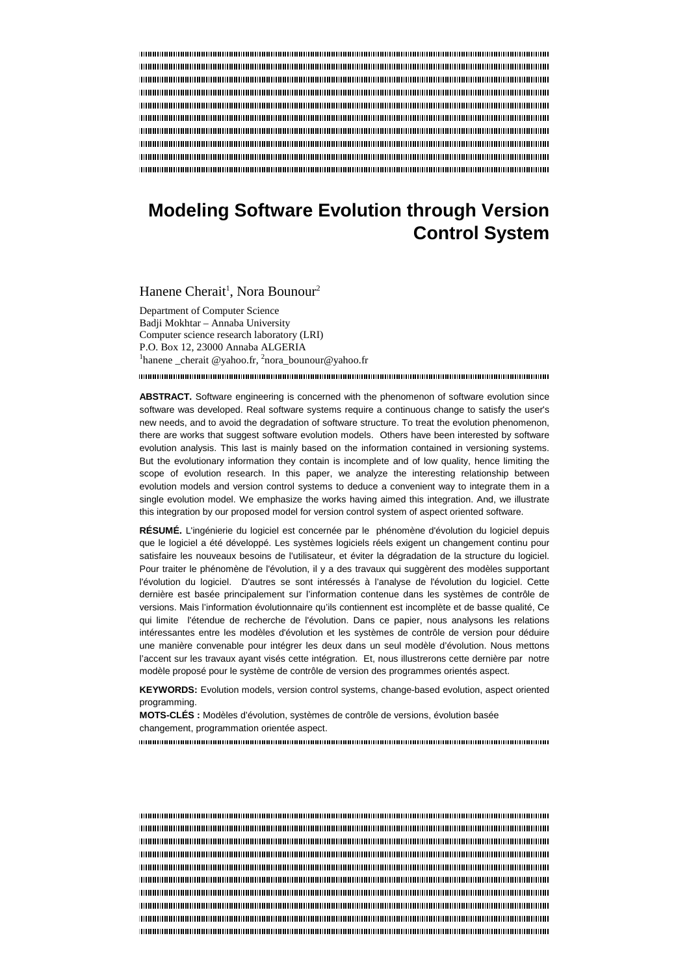# **Modeling Software Evolution through Version Control System**

## Hanene Cherait<sup>1</sup>, Nora Bounour<sup>2</sup>

Department of Computer Science Badji Mokhtar – Annaba University Computer science research laboratory (LRI) P.O. Box 12, 23000 Annaba ALGERIA <sup>1</sup>hanene \_cherait @yahoo.fr,  $^2$ nora\_bounour@yahoo.fr

**ABSTRACT.** Software engineering is concerned with the phenomenon of software evolution since software was developed. Real software systems require a continuous change to satisfy the user's new needs, and to avoid the degradation of software structure. To treat the evolution phenomenon, there are works that suggest software evolution models. Others have been interested by software evolution analysis. This last is mainly based on the information contained in versioning systems. But the evolutionary information they contain is incomplete and of low quality, hence limiting the scope of evolution research. In this paper, we analyze the interesting relationship between evolution models and version control systems to deduce a convenient way to integrate them in a single evolution model. We emphasize the works having aimed this integration. And, we illustrate this integration by our proposed model for version control system of aspect oriented software.

**RÉSUMÉ.** L'ingénierie du logiciel est concernée par le phénomène d'évolution du logiciel depuis que le logiciel a été développé. Les systèmes logiciels réels exigent un changement continu pour satisfaire les nouveaux besoins de l'utilisateur, et éviter la dégradation de la structure du logiciel. Pour traiter le phénomène de l'évolution, il y a des travaux qui suggèrent des modèles supportant l'évolution du logiciel. D'autres se sont intéressés à l'analyse de l'évolution du logiciel. Cette dernière est basée principalement sur l'information contenue dans les systèmes de contrôle de versions. Mais l'information évolutionnaire qu'ils contiennent est incomplète et de basse qualité, Ce qui limite l'étendue de recherche de l'évolution. Dans ce papier, nous analysons les relations intéressantes entre les modèles d'évolution et les systèmes de contrôle de version pour déduire une manière convenable pour intégrer les deux dans un seul modèle d'évolution. Nous mettons l'accent sur les travaux ayant visés cette intégration. Et, nous illustrerons cette dernière par notre modèle proposé pour le système de contrôle de version des programmes orientés aspect.

**KEYWORDS:** Evolution models, version control systems, change-based evolution, aspect oriented programming.

**MOTS-CLÉS :** Modèles d'évolution, systèmes de contrôle de versions, évolution basée changement, programmation orientée aspect.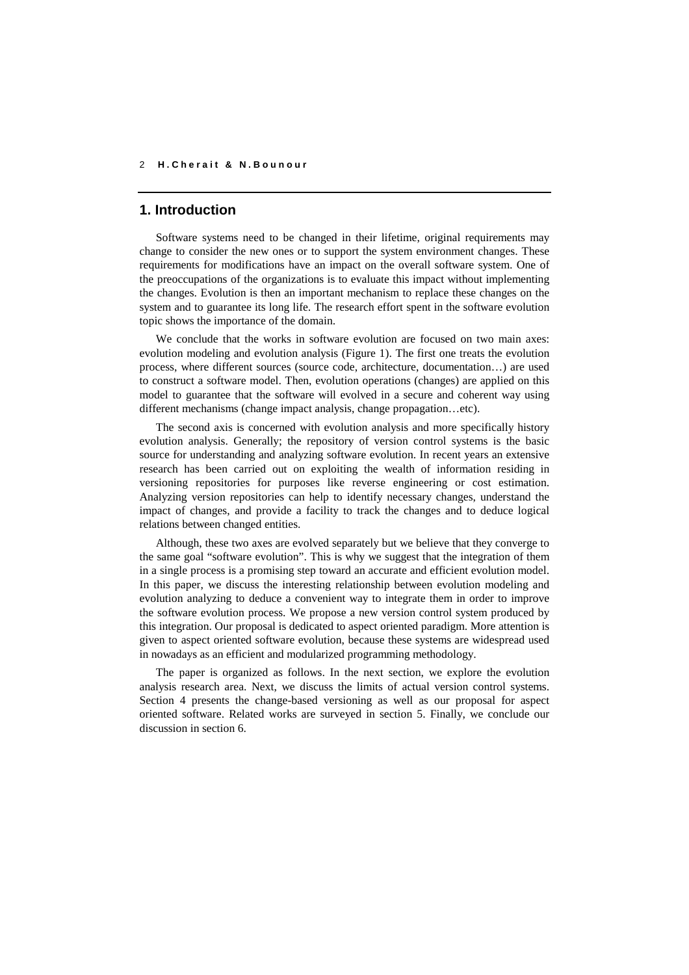# **1. Introduction**

Software systems need to be changed in their lifetime, original requirements may change to consider the new ones or to support the system environment changes. These requirements for modifications have an impact on the overall software system. One of the preoccupations of the organizations is to evaluate this impact without implementing the changes. Evolution is then an important mechanism to replace these changes on the system and to guarantee its long life. The research effort spent in the software evolution topic shows the importance of the domain.

We conclude that the works in software evolution are focused on two main axes: evolution modeling and evolution analysis (Figure 1). The first one treats the evolution process, where different sources (source code, architecture, documentation…) are used to construct a software model. Then, evolution operations (changes) are applied on this model to guarantee that the software will evolved in a secure and coherent way using different mechanisms (change impact analysis, change propagation…etc).

The second axis is concerned with evolution analysis and more specifically history evolution analysis. Generally; the repository of version control systems is the basic source for understanding and analyzing software evolution. In recent years an extensive research has been carried out on exploiting the wealth of information residing in versioning repositories for purposes like reverse engineering or cost estimation. Analyzing version repositories can help to identify necessary changes, understand the impact of changes, and provide a facility to track the changes and to deduce logical relations between changed entities.

Although, these two axes are evolved separately but we believe that they converge to the same goal "software evolution". This is why we suggest that the integration of them in a single process is a promising step toward an accurate and efficient evolution model. In this paper, we discuss the interesting relationship between evolution modeling and evolution analyzing to deduce a convenient way to integrate them in order to improve the software evolution process. We propose a new version control system produced by this integration. Our proposal is dedicated to aspect oriented paradigm. More attention is given to aspect oriented software evolution, because these systems are widespread used in nowadays as an efficient and modularized programming methodology.

The paper is organized as follows. In the next section, we explore the evolution analysis research area. Next, we discuss the limits of actual version control systems. Section 4 presents the change-based versioning as well as our proposal for aspect oriented software. Related works are surveyed in section 5. Finally, we conclude our discussion in section 6.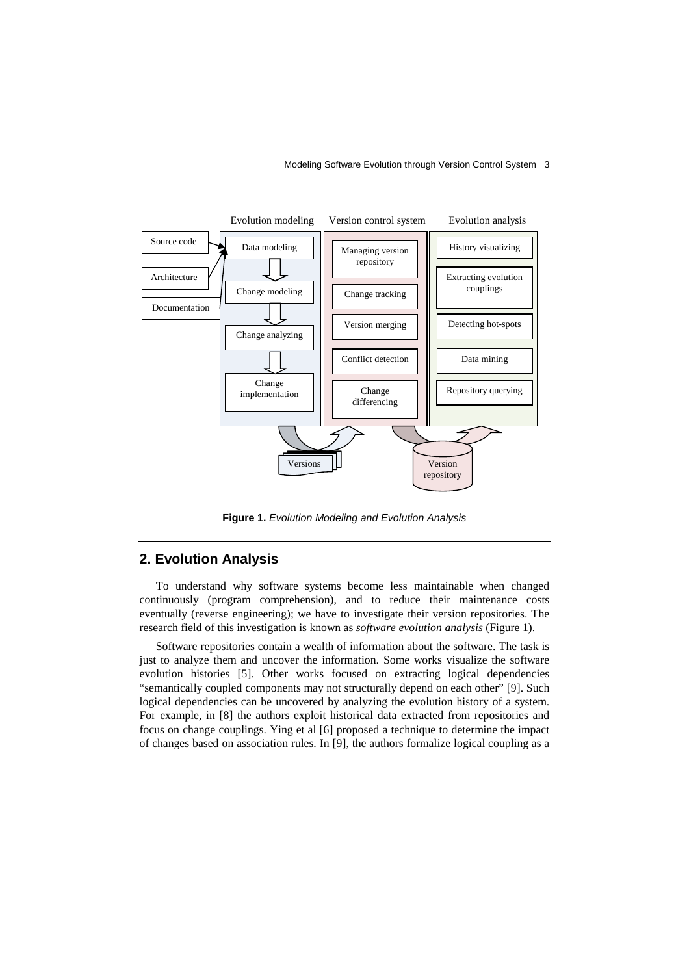#### Modeling Software Evolution through Version Control System 3



**Figure 1.** Evolution Modeling and Evolution Analysis

# **2. Evolution Analysis**

To understand why software systems become less maintainable when changed continuously (program comprehension), and to reduce their maintenance costs eventually (reverse engineering); we have to investigate their version repositories. The research field of this investigation is known as *software evolution analysis* (Figure 1).

Software repositories contain a wealth of information about the software. The task is just to analyze them and uncover the information. Some works visualize the software evolution histories [5]. Other works focused on extracting logical dependencies "semantically coupled components may not structurally depend on each other" [9]. Such logical dependencies can be uncovered by analyzing the evolution history of a system. For example, in [8] the authors exploit historical data extracted from repositories and focus on change couplings. Ying et al [6] proposed a technique to determine the impact of changes based on association rules. In [9], the authors formalize logical coupling as a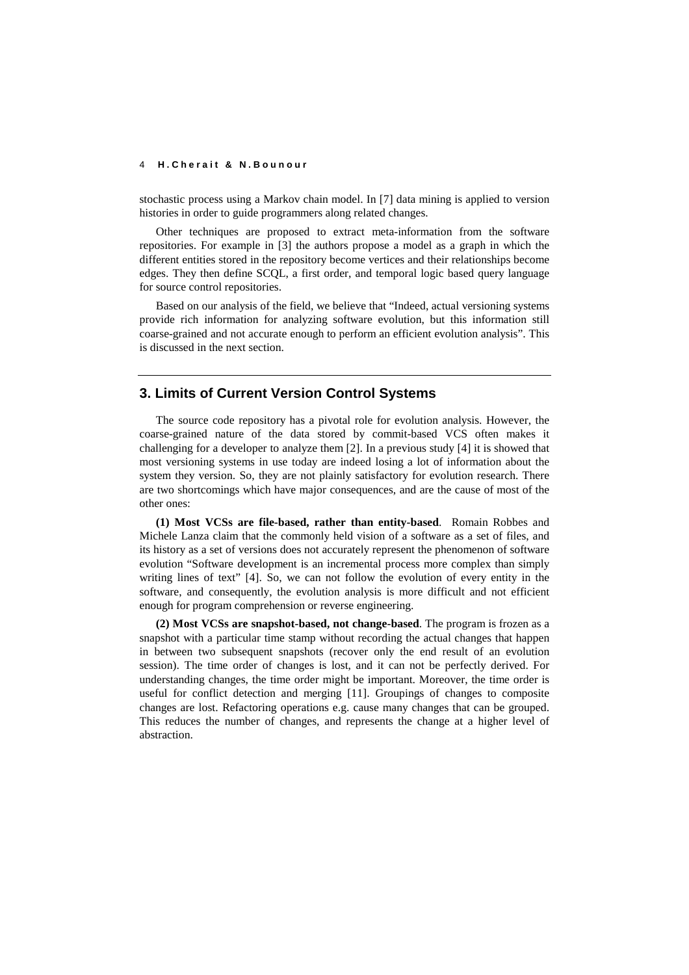#### 4 **H . C h e r a i t & N . B o u n o u r**

stochastic process using a Markov chain model. In [7] data mining is applied to version histories in order to guide programmers along related changes.

Other techniques are proposed to extract meta-information from the software repositories. For example in [3] the authors propose a model as a graph in which the different entities stored in the repository become vertices and their relationships become edges. They then define SCQL, a first order, and temporal logic based query language for source control repositories.

Based on our analysis of the field, we believe that "Indeed, actual versioning systems provide rich information for analyzing software evolution, but this information still coarse-grained and not accurate enough to perform an efficient evolution analysis". This is discussed in the next section.

### **3. Limits of Current Version Control Systems**

The source code repository has a pivotal role for evolution analysis. However, the coarse-grained nature of the data stored by commit-based VCS often makes it challenging for a developer to analyze them [2]. In a previous study [4] it is showed that most versioning systems in use today are indeed losing a lot of information about the system they version. So, they are not plainly satisfactory for evolution research. There are two shortcomings which have major consequences, and are the cause of most of the other ones:

**(1) Most VCSs are file-based, rather than entity-based**. Romain Robbes and Michele Lanza claim that the commonly held vision of a software as a set of files, and its history as a set of versions does not accurately represent the phenomenon of software evolution "Software development is an incremental process more complex than simply writing lines of text" [4]. So, we can not follow the evolution of every entity in the software, and consequently, the evolution analysis is more difficult and not efficient enough for program comprehension or reverse engineering.

**(2) Most VCSs are snapshot-based, not change-based**. The program is frozen as a snapshot with a particular time stamp without recording the actual changes that happen in between two subsequent snapshots (recover only the end result of an evolution session). The time order of changes is lost, and it can not be perfectly derived. For understanding changes, the time order might be important. Moreover, the time order is useful for conflict detection and merging [11]. Groupings of changes to composite changes are lost. Refactoring operations e.g. cause many changes that can be grouped. This reduces the number of changes, and represents the change at a higher level of abstraction.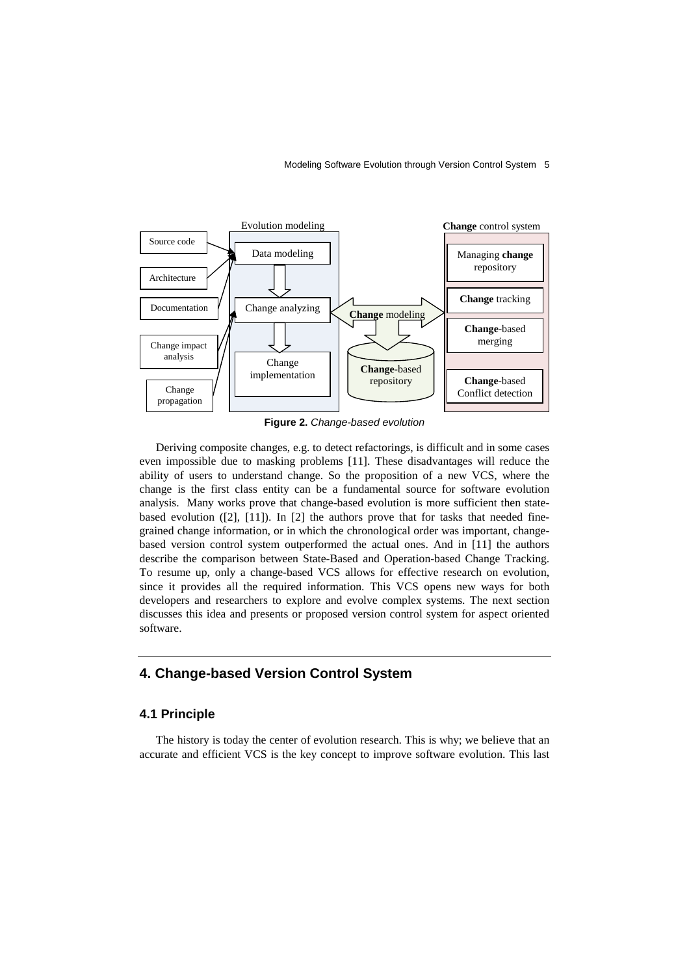#### Modeling Software Evolution through Version Control System 5



**Figure 2.** Change-based evolution

Deriving composite changes, e.g. to detect refactorings, is difficult and in some cases even impossible due to masking problems [11]. These disadvantages will reduce the ability of users to understand change. So the proposition of a new VCS, where the change is the first class entity can be a fundamental source for software evolution analysis. Many works prove that change-based evolution is more sufficient then statebased evolution ( $[2]$ ,  $[11]$ ). In  $[2]$  the authors prove that for tasks that needed finegrained change information, or in which the chronological order was important, changebased version control system outperformed the actual ones. And in [11] the authors describe the comparison between State-Based and Operation-based Change Tracking. To resume up, only a change-based VCS allows for effective research on evolution, since it provides all the required information. This VCS opens new ways for both developers and researchers to explore and evolve complex systems. The next section discusses this idea and presents or proposed version control system for aspect oriented software.

# **4. Change-based Version Control System**

### **4.1 Principle**

The history is today the center of evolution research. This is why; we believe that an accurate and efficient VCS is the key concept to improve software evolution. This last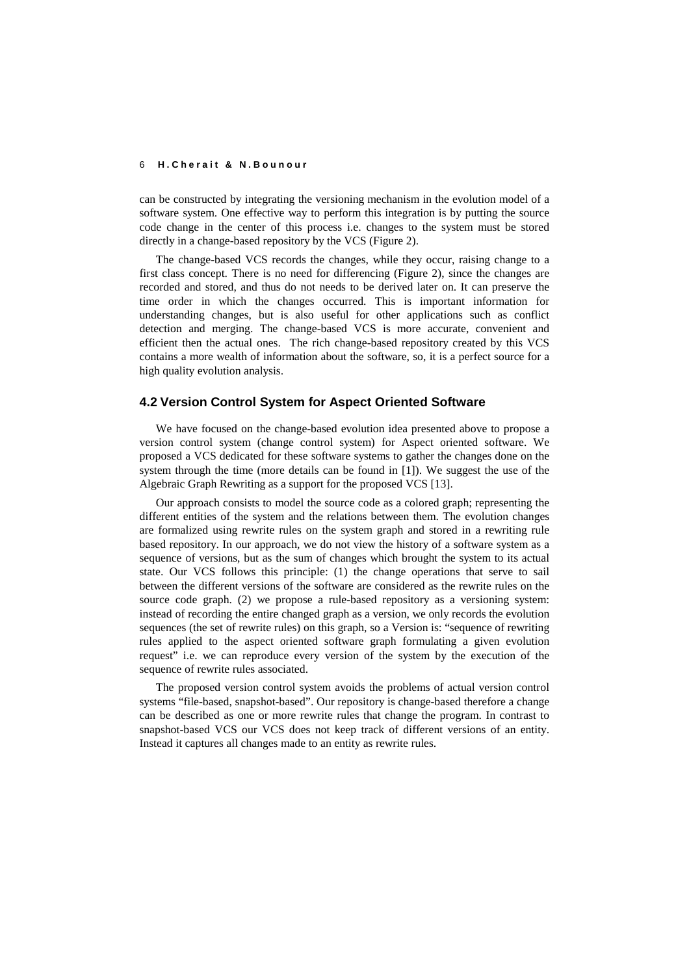#### 6 **H . C h e r a i t & N . B o u n o u r**

can be constructed by integrating the versioning mechanism in the evolution model of a software system. One effective way to perform this integration is by putting the source code change in the center of this process i.e. changes to the system must be stored directly in a change-based repository by the VCS (Figure 2).

The change-based VCS records the changes, while they occur, raising change to a first class concept. There is no need for differencing (Figure 2), since the changes are recorded and stored, and thus do not needs to be derived later on. It can preserve the time order in which the changes occurred. This is important information for understanding changes, but is also useful for other applications such as conflict detection and merging. The change-based VCS is more accurate, convenient and efficient then the actual ones. The rich change-based repository created by this VCS contains a more wealth of information about the software, so, it is a perfect source for a high quality evolution analysis.

#### **4.2 Version Control System for Aspect Oriented Software**

We have focused on the change-based evolution idea presented above to propose a version control system (change control system) for Aspect oriented software. We proposed a VCS dedicated for these software systems to gather the changes done on the system through the time (more details can be found in [1]). We suggest the use of the Algebraic Graph Rewriting as a support for the proposed VCS [13].

Our approach consists to model the source code as a colored graph; representing the different entities of the system and the relations between them. The evolution changes are formalized using rewrite rules on the system graph and stored in a rewriting rule based repository. In our approach, we do not view the history of a software system as a sequence of versions, but as the sum of changes which brought the system to its actual state. Our VCS follows this principle: (1) the change operations that serve to sail between the different versions of the software are considered as the rewrite rules on the source code graph. (2) we propose a rule-based repository as a versioning system: instead of recording the entire changed graph as a version, we only records the evolution sequences (the set of rewrite rules) on this graph, so a Version is: "sequence of rewriting rules applied to the aspect oriented software graph formulating a given evolution request" i.e. we can reproduce every version of the system by the execution of the sequence of rewrite rules associated.

The proposed version control system avoids the problems of actual version control systems "file-based, snapshot-based". Our repository is change-based therefore a change can be described as one or more rewrite rules that change the program. In contrast to snapshot-based VCS our VCS does not keep track of different versions of an entity. Instead it captures all changes made to an entity as rewrite rules.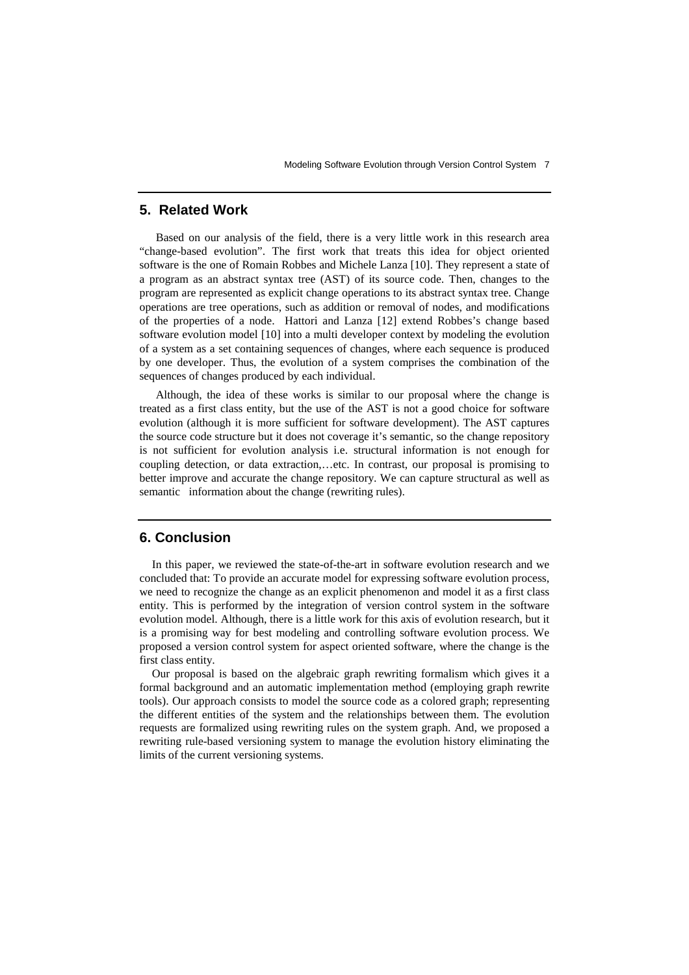# **5. Related Work**

Based on our analysis of the field, there is a very little work in this research area "change-based evolution". The first work that treats this idea for object oriented software is the one of Romain Robbes and Michele Lanza [10]. They represent a state of a program as an abstract syntax tree (AST) of its source code. Then, changes to the program are represented as explicit change operations to its abstract syntax tree. Change operations are tree operations, such as addition or removal of nodes, and modifications of the properties of a node. Hattori and Lanza [12] extend Robbes's change based software evolution model [10] into a multi developer context by modeling the evolution of a system as a set containing sequences of changes, where each sequence is produced by one developer. Thus, the evolution of a system comprises the combination of the sequences of changes produced by each individual.

Although, the idea of these works is similar to our proposal where the change is treated as a first class entity, but the use of the AST is not a good choice for software evolution (although it is more sufficient for software development). The AST captures the source code structure but it does not coverage it's semantic, so the change repository is not sufficient for evolution analysis i.e. structural information is not enough for coupling detection, or data extraction,…etc. In contrast, our proposal is promising to better improve and accurate the change repository. We can capture structural as well as semantic information about the change (rewriting rules).

### **6. Conclusion**

In this paper, we reviewed the state-of-the-art in software evolution research and we concluded that: To provide an accurate model for expressing software evolution process, we need to recognize the change as an explicit phenomenon and model it as a first class entity. This is performed by the integration of version control system in the software evolution model. Although, there is a little work for this axis of evolution research, but it is a promising way for best modeling and controlling software evolution process. We proposed a version control system for aspect oriented software, where the change is the first class entity.

Our proposal is based on the algebraic graph rewriting formalism which gives it a formal background and an automatic implementation method (employing graph rewrite tools). Our approach consists to model the source code as a colored graph; representing the different entities of the system and the relationships between them. The evolution requests are formalized using rewriting rules on the system graph. And, we proposed a rewriting rule-based versioning system to manage the evolution history eliminating the limits of the current versioning systems.